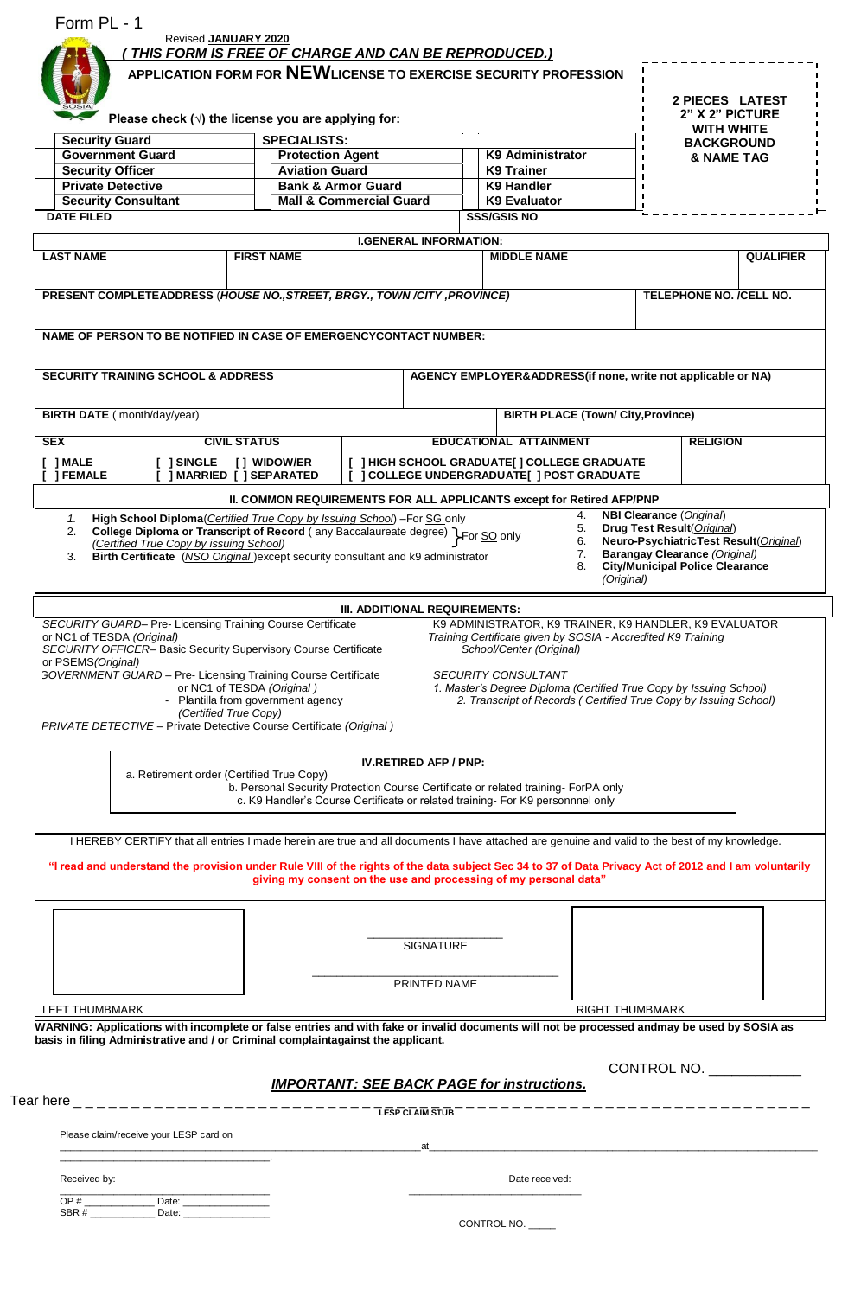|                                                                                                                                                                                                                                                                                                                                                                                                                        |                                                                 | Revised JANUARY 2020                                                               |  |                               |                    |                                                                                                                                                                                                                                |                                                              |                                                                              |                                        |                  |                                                                                                                               |                       |                   |  |  |  |  |  |            |  |
|------------------------------------------------------------------------------------------------------------------------------------------------------------------------------------------------------------------------------------------------------------------------------------------------------------------------------------------------------------------------------------------------------------------------|-----------------------------------------------------------------|------------------------------------------------------------------------------------|--|-------------------------------|--------------------|--------------------------------------------------------------------------------------------------------------------------------------------------------------------------------------------------------------------------------|--------------------------------------------------------------|------------------------------------------------------------------------------|----------------------------------------|------------------|-------------------------------------------------------------------------------------------------------------------------------|-----------------------|-------------------|--|--|--|--|--|------------|--|
|                                                                                                                                                                                                                                                                                                                                                                                                                        | THIS FORM IS FREE OF CHARGE AND CAN BE REPRODUCED.)             |                                                                                    |  |                               |                    |                                                                                                                                                                                                                                |                                                              |                                                                              |                                        |                  |                                                                                                                               |                       |                   |  |  |  |  |  |            |  |
|                                                                                                                                                                                                                                                                                                                                                                                                                        | APPLICATION FORM FOR NEWLICENSE TO EXERCISE SECURITY PROFESSION |                                                                                    |  |                               |                    |                                                                                                                                                                                                                                |                                                              |                                                                              |                                        |                  |                                                                                                                               |                       |                   |  |  |  |  |  |            |  |
| Please check $(\sqrt{})$ the license you are applying for:                                                                                                                                                                                                                                                                                                                                                             |                                                                 |                                                                                    |  |                               |                    |                                                                                                                                                                                                                                |                                                              | 2 PIECES LATEST<br>2" X 2" PICTURE<br><b>WITH WHITE</b><br><b>BACKGROUND</b> |                                        |                  |                                                                                                                               |                       |                   |  |  |  |  |  |            |  |
|                                                                                                                                                                                                                                                                                                                                                                                                                        |                                                                 |                                                                                    |  |                               |                    |                                                                                                                                                                                                                                |                                                              |                                                                              |                                        |                  | <b>SPECIALISTS:</b><br><b>Security Guard</b><br><b>Government Guard</b><br><b>K9 Administrator</b><br><b>Protection Agent</b> |                       |                   |  |  |  |  |  | & NAME TAG |  |
|                                                                                                                                                                                                                                                                                                                                                                                                                        |                                                                 |                                                                                    |  |                               |                    |                                                                                                                                                                                                                                |                                                              |                                                                              |                                        |                  | <b>Security Officer</b>                                                                                                       | <b>Aviation Guard</b> | <b>K9 Trainer</b> |  |  |  |  |  |            |  |
| <b>Private Detective</b>                                                                                                                                                                                                                                                                                                                                                                                               |                                                                 | <b>Bank &amp; Armor Guard</b>                                                      |  |                               |                    | <b>K9 Handler</b>                                                                                                                                                                                                              |                                                              |                                                                              |                                        |                  |                                                                                                                               |                       |                   |  |  |  |  |  |            |  |
| <b>Security Consultant</b>                                                                                                                                                                                                                                                                                                                                                                                             |                                                                 | <b>Mall &amp; Commercial Guard</b>                                                 |  | <b>K9 Evaluator</b>           |                    |                                                                                                                                                                                                                                |                                                              |                                                                              |                                        |                  |                                                                                                                               |                       |                   |  |  |  |  |  |            |  |
| <b>DATE FILED</b>                                                                                                                                                                                                                                                                                                                                                                                                      |                                                                 |                                                                                    |  |                               | <b>SSS/GSIS NO</b> |                                                                                                                                                                                                                                |                                                              |                                                                              |                                        |                  |                                                                                                                               |                       |                   |  |  |  |  |  |            |  |
|                                                                                                                                                                                                                                                                                                                                                                                                                        |                                                                 |                                                                                    |  | <b>I.GENERAL INFORMATION:</b> |                    |                                                                                                                                                                                                                                |                                                              |                                                                              |                                        |                  |                                                                                                                               |                       |                   |  |  |  |  |  |            |  |
| <b>LAST NAME</b>                                                                                                                                                                                                                                                                                                                                                                                                       |                                                                 | <b>FIRST NAME</b>                                                                  |  |                               |                    | <b>MIDDLE NAME</b>                                                                                                                                                                                                             |                                                              |                                                                              |                                        | <b>QUALIFIER</b> |                                                                                                                               |                       |                   |  |  |  |  |  |            |  |
|                                                                                                                                                                                                                                                                                                                                                                                                                        |                                                                 |                                                                                    |  |                               |                    |                                                                                                                                                                                                                                |                                                              |                                                                              |                                        |                  |                                                                                                                               |                       |                   |  |  |  |  |  |            |  |
| PRESENT COMPLETEADDRESS (HOUSE NO., STREET, BRGY., TOWN /CITY, PROVINCE)                                                                                                                                                                                                                                                                                                                                               |                                                                 |                                                                                    |  |                               |                    |                                                                                                                                                                                                                                |                                                              |                                                                              | <b>TELEPHONE NO. /CELL NO.</b>         |                  |                                                                                                                               |                       |                   |  |  |  |  |  |            |  |
|                                                                                                                                                                                                                                                                                                                                                                                                                        |                                                                 |                                                                                    |  |                               |                    |                                                                                                                                                                                                                                |                                                              |                                                                              |                                        |                  |                                                                                                                               |                       |                   |  |  |  |  |  |            |  |
| NAME OF PERSON TO BE NOTIFIED IN CASE OF EMERGENCYCONTACT NUMBER:                                                                                                                                                                                                                                                                                                                                                      |                                                                 |                                                                                    |  |                               |                    |                                                                                                                                                                                                                                |                                                              |                                                                              |                                        |                  |                                                                                                                               |                       |                   |  |  |  |  |  |            |  |
|                                                                                                                                                                                                                                                                                                                                                                                                                        |                                                                 |                                                                                    |  |                               |                    |                                                                                                                                                                                                                                |                                                              |                                                                              |                                        |                  |                                                                                                                               |                       |                   |  |  |  |  |  |            |  |
| <b>SECURITY TRAINING SCHOOL &amp; ADDRESS</b>                                                                                                                                                                                                                                                                                                                                                                          |                                                                 |                                                                                    |  |                               |                    | AGENCY EMPLOYER&ADDRESS(if none, write not applicable or NA)                                                                                                                                                                   |                                                              |                                                                              |                                        |                  |                                                                                                                               |                       |                   |  |  |  |  |  |            |  |
|                                                                                                                                                                                                                                                                                                                                                                                                                        |                                                                 |                                                                                    |  |                               |                    |                                                                                                                                                                                                                                |                                                              |                                                                              |                                        |                  |                                                                                                                               |                       |                   |  |  |  |  |  |            |  |
|                                                                                                                                                                                                                                                                                                                                                                                                                        |                                                                 |                                                                                    |  |                               |                    |                                                                                                                                                                                                                                |                                                              |                                                                              |                                        |                  |                                                                                                                               |                       |                   |  |  |  |  |  |            |  |
| <b>BIRTH DATE</b> (month/day/year)                                                                                                                                                                                                                                                                                                                                                                                     |                                                                 |                                                                                    |  |                               |                    | <b>BIRTH PLACE (Town/ City, Province)</b>                                                                                                                                                                                      |                                                              |                                                                              |                                        |                  |                                                                                                                               |                       |                   |  |  |  |  |  |            |  |
| <b>SEX</b>                                                                                                                                                                                                                                                                                                                                                                                                             | <b>CIVIL STATUS</b>                                             |                                                                                    |  |                               |                    | <b>EDUCATIONAL ATTAINMENT</b>                                                                                                                                                                                                  |                                                              |                                                                              | <b>RELIGION</b>                        |                  |                                                                                                                               |                       |                   |  |  |  |  |  |            |  |
| [ ] MALE                                                                                                                                                                                                                                                                                                                                                                                                               | [ ] SINGLE                                                      | [ ] WIDOW/ER                                                                       |  |                               |                    | [ ] HIGH SCHOOL GRADUATE[ ] COLLEGE GRADUATE                                                                                                                                                                                   |                                                              |                                                                              |                                        |                  |                                                                                                                               |                       |                   |  |  |  |  |  |            |  |
| [ ] FEMALE                                                                                                                                                                                                                                                                                                                                                                                                             | ] MARRIED [ ] SEPARATED                                         |                                                                                    |  |                               |                    | [ ] COLLEGE UNDERGRADUATE[ ] POST GRADUATE                                                                                                                                                                                     |                                                              |                                                                              |                                        |                  |                                                                                                                               |                       |                   |  |  |  |  |  |            |  |
|                                                                                                                                                                                                                                                                                                                                                                                                                        |                                                                 | II. COMMON REQUIREMENTS FOR ALL APPLICANTS except for Retired AFP/PNP              |  |                               |                    |                                                                                                                                                                                                                                |                                                              |                                                                              |                                        |                  |                                                                                                                               |                       |                   |  |  |  |  |  |            |  |
|                                                                                                                                                                                                                                                                                                                                                                                                                        |                                                                 |                                                                                    |  |                               |                    |                                                                                                                                                                                                                                | 8.<br>(Original)                                             |                                                                              | <b>City/Municipal Police Clearance</b> |                  |                                                                                                                               |                       |                   |  |  |  |  |  |            |  |
| SECURITY GUARD- Pre- Licensing Training Course Certificate                                                                                                                                                                                                                                                                                                                                                             |                                                                 |                                                                                    |  | III. ADDITIONAL REQUIREMENTS: |                    | K9 ADMINISTRATOR, K9 TRAINER, K9 HANDLER, K9 EVALUATOR                                                                                                                                                                         |                                                              |                                                                              |                                        |                  |                                                                                                                               |                       |                   |  |  |  |  |  |            |  |
| or NC1 of TESDA (Original)                                                                                                                                                                                                                                                                                                                                                                                             |                                                                 |                                                                                    |  |                               |                    |                                                                                                                                                                                                                                | Training Certificate given by SOSIA - Accredited K9 Training |                                                                              |                                        |                  |                                                                                                                               |                       |                   |  |  |  |  |  |            |  |
|                                                                                                                                                                                                                                                                                                                                                                                                                        |                                                                 |                                                                                    |  |                               |                    |                                                                                                                                                                                                                                |                                                              |                                                                              |                                        |                  |                                                                                                                               |                       |                   |  |  |  |  |  |            |  |
| SECURITY OFFICER- Basic Security Supervisory Course Certificate                                                                                                                                                                                                                                                                                                                                                        |                                                                 |                                                                                    |  |                               |                    | School/Center (Original)                                                                                                                                                                                                       |                                                              |                                                                              |                                        |                  |                                                                                                                               |                       |                   |  |  |  |  |  |            |  |
|                                                                                                                                                                                                                                                                                                                                                                                                                        |                                                                 |                                                                                    |  |                               |                    |                                                                                                                                                                                                                                |                                                              |                                                                              |                                        |                  |                                                                                                                               |                       |                   |  |  |  |  |  |            |  |
|                                                                                                                                                                                                                                                                                                                                                                                                                        | or NC1 of TESDA (Original)                                      |                                                                                    |  |                               |                    | <b>SECURITY CONSULTANT</b><br>1. Master's Degree Diploma (Certified True Copy by Issuing School)                                                                                                                               |                                                              |                                                                              |                                        |                  |                                                                                                                               |                       |                   |  |  |  |  |  |            |  |
|                                                                                                                                                                                                                                                                                                                                                                                                                        | - Plantilla from government agency                              |                                                                                    |  |                               |                    | 2. Transcript of Records (Certified True Copy by Issuing School)                                                                                                                                                               |                                                              |                                                                              |                                        |                  |                                                                                                                               |                       |                   |  |  |  |  |  |            |  |
|                                                                                                                                                                                                                                                                                                                                                                                                                        | (Certified True Copy)                                           |                                                                                    |  |                               |                    |                                                                                                                                                                                                                                |                                                              |                                                                              |                                        |                  |                                                                                                                               |                       |                   |  |  |  |  |  |            |  |
|                                                                                                                                                                                                                                                                                                                                                                                                                        |                                                                 |                                                                                    |  |                               |                    |                                                                                                                                                                                                                                |                                                              |                                                                              |                                        |                  |                                                                                                                               |                       |                   |  |  |  |  |  |            |  |
|                                                                                                                                                                                                                                                                                                                                                                                                                        |                                                                 |                                                                                    |  | <b>IV.RETIRED AFP / PNP:</b>  |                    |                                                                                                                                                                                                                                |                                                              |                                                                              |                                        |                  |                                                                                                                               |                       |                   |  |  |  |  |  |            |  |
|                                                                                                                                                                                                                                                                                                                                                                                                                        | a. Retirement order (Certified True Copy)                       |                                                                                    |  |                               |                    |                                                                                                                                                                                                                                |                                                              |                                                                              |                                        |                  |                                                                                                                               |                       |                   |  |  |  |  |  |            |  |
|                                                                                                                                                                                                                                                                                                                                                                                                                        |                                                                 | b. Personal Security Protection Course Certificate or related training- ForPA only |  |                               |                    |                                                                                                                                                                                                                                |                                                              |                                                                              |                                        |                  |                                                                                                                               |                       |                   |  |  |  |  |  |            |  |
|                                                                                                                                                                                                                                                                                                                                                                                                                        |                                                                 | c. K9 Handler's Course Certificate or related training- For K9 personnnel only     |  |                               |                    |                                                                                                                                                                                                                                |                                                              |                                                                              |                                        |                  |                                                                                                                               |                       |                   |  |  |  |  |  |            |  |
|                                                                                                                                                                                                                                                                                                                                                                                                                        |                                                                 |                                                                                    |  |                               |                    |                                                                                                                                                                                                                                |                                                              |                                                                              |                                        |                  |                                                                                                                               |                       |                   |  |  |  |  |  |            |  |
| I HEREBY CERTIFY that all entries I made herein are true and all documents I have attached are genuine and valid to the best of my knowledge.                                                                                                                                                                                                                                                                          |                                                                 |                                                                                    |  |                               |                    |                                                                                                                                                                                                                                |                                                              |                                                                              |                                        |                  |                                                                                                                               |                       |                   |  |  |  |  |  |            |  |
| "I read and understand the provision under Rule VIII of the rights of the data subject Sec 34 to 37 of Data Privacy Act of 2012 and I am voluntarily                                                                                                                                                                                                                                                                   |                                                                 |                                                                                    |  |                               |                    |                                                                                                                                                                                                                                |                                                              |                                                                              |                                        |                  |                                                                                                                               |                       |                   |  |  |  |  |  |            |  |
|                                                                                                                                                                                                                                                                                                                                                                                                                        |                                                                 | giving my consent on the use and processing of my personal data"                   |  |                               |                    |                                                                                                                                                                                                                                |                                                              |                                                                              |                                        |                  |                                                                                                                               |                       |                   |  |  |  |  |  |            |  |
|                                                                                                                                                                                                                                                                                                                                                                                                                        |                                                                 |                                                                                    |  |                               |                    |                                                                                                                                                                                                                                |                                                              |                                                                              |                                        |                  |                                                                                                                               |                       |                   |  |  |  |  |  |            |  |
|                                                                                                                                                                                                                                                                                                                                                                                                                        |                                                                 |                                                                                    |  |                               |                    |                                                                                                                                                                                                                                |                                                              |                                                                              |                                        |                  |                                                                                                                               |                       |                   |  |  |  |  |  |            |  |
|                                                                                                                                                                                                                                                                                                                                                                                                                        |                                                                 |                                                                                    |  | SIGNATURE                     |                    |                                                                                                                                                                                                                                |                                                              |                                                                              |                                        |                  |                                                                                                                               |                       |                   |  |  |  |  |  |            |  |
|                                                                                                                                                                                                                                                                                                                                                                                                                        |                                                                 |                                                                                    |  |                               |                    |                                                                                                                                                                                                                                |                                                              |                                                                              |                                        |                  |                                                                                                                               |                       |                   |  |  |  |  |  |            |  |
|                                                                                                                                                                                                                                                                                                                                                                                                                        |                                                                 |                                                                                    |  |                               |                    |                                                                                                                                                                                                                                |                                                              |                                                                              |                                        |                  |                                                                                                                               |                       |                   |  |  |  |  |  |            |  |
|                                                                                                                                                                                                                                                                                                                                                                                                                        |                                                                 |                                                                                    |  | PRINTED NAME                  |                    |                                                                                                                                                                                                                                |                                                              |                                                                              |                                        |                  |                                                                                                                               |                       |                   |  |  |  |  |  |            |  |
|                                                                                                                                                                                                                                                                                                                                                                                                                        |                                                                 |                                                                                    |  |                               |                    |                                                                                                                                                                                                                                | <b>RIGHT THUMBMARK</b>                                       |                                                                              |                                        |                  |                                                                                                                               |                       |                   |  |  |  |  |  |            |  |
|                                                                                                                                                                                                                                                                                                                                                                                                                        |                                                                 |                                                                                    |  |                               |                    |                                                                                                                                                                                                                                |                                                              |                                                                              |                                        |                  |                                                                                                                               |                       |                   |  |  |  |  |  |            |  |
|                                                                                                                                                                                                                                                                                                                                                                                                                        |                                                                 |                                                                                    |  |                               |                    |                                                                                                                                                                                                                                |                                                              |                                                                              |                                        |                  |                                                                                                                               |                       |                   |  |  |  |  |  |            |  |
|                                                                                                                                                                                                                                                                                                                                                                                                                        |                                                                 |                                                                                    |  |                               |                    |                                                                                                                                                                                                                                |                                                              |                                                                              |                                        | CONTROL NO.      |                                                                                                                               |                       |                   |  |  |  |  |  |            |  |
|                                                                                                                                                                                                                                                                                                                                                                                                                        |                                                                 | <b>IMPORTANT: SEE BACK PAGE for instructions.</b>                                  |  |                               |                    |                                                                                                                                                                                                                                |                                                              |                                                                              |                                        |                  |                                                                                                                               |                       |                   |  |  |  |  |  |            |  |
|                                                                                                                                                                                                                                                                                                                                                                                                                        |                                                                 |                                                                                    |  |                               |                    |                                                                                                                                                                                                                                |                                                              |                                                                              |                                        |                  |                                                                                                                               |                       |                   |  |  |  |  |  |            |  |
|                                                                                                                                                                                                                                                                                                                                                                                                                        |                                                                 |                                                                                    |  | <b>LESP CLAIM STUB</b>        |                    |                                                                                                                                                                                                                                |                                                              |                                                                              |                                        |                  |                                                                                                                               |                       |                   |  |  |  |  |  |            |  |
| Please claim/receive your LESP card on                                                                                                                                                                                                                                                                                                                                                                                 |                                                                 |                                                                                    |  |                               |                    | at the contract of the contract of the contract of the contract of the contract of the contract of the contract of the contract of the contract of the contract of the contract of the contract of the contract of the contrac |                                                              |                                                                              |                                        |                  |                                                                                                                               |                       |                   |  |  |  |  |  |            |  |
| or PSEMS (Original)<br><b>GOVERNMENT GUARD - Pre- Licensing Training Course Certificate</b><br>PRIVATE DETECTIVE - Private Detective Course Certificate (Original)<br>LEFT THUMBMARK<br>WARNING: Applications with incomplete or false entries and with fake or invalid documents will not be processed andmay be used by SOSIA as<br>basis in filing Administrative and / or Criminal complaintagainst the applicant. |                                                                 |                                                                                    |  |                               |                    |                                                                                                                                                                                                                                |                                                              |                                                                              |                                        |                  |                                                                                                                               |                       |                   |  |  |  |  |  |            |  |
| Received by:                                                                                                                                                                                                                                                                                                                                                                                                           |                                                                 |                                                                                    |  |                               |                    | Date received:                                                                                                                                                                                                                 |                                                              |                                                                              |                                        |                  |                                                                                                                               |                       |                   |  |  |  |  |  |            |  |
|                                                                                                                                                                                                                                                                                                                                                                                                                        |                                                                 |                                                                                    |  |                               |                    |                                                                                                                                                                                                                                |                                                              |                                                                              |                                        |                  |                                                                                                                               |                       |                   |  |  |  |  |  |            |  |